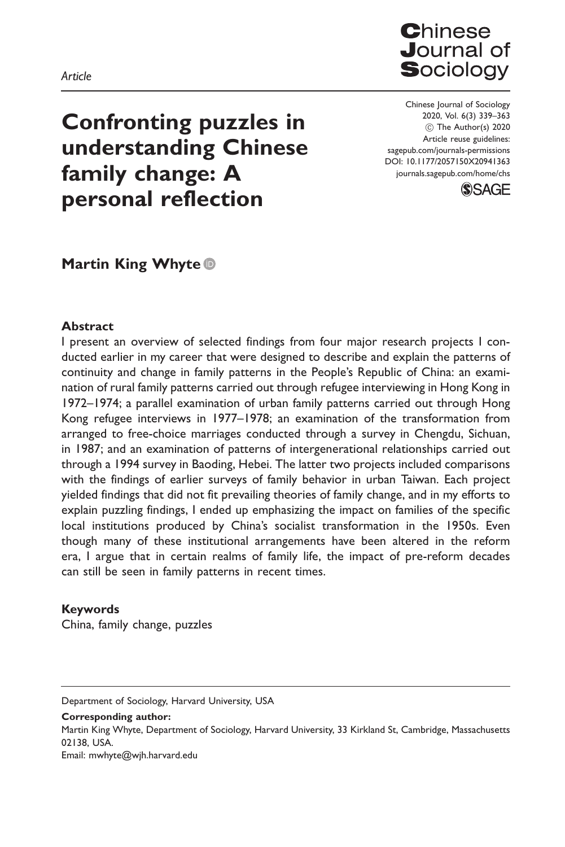#### Article

# **Chinese** Journal of **Sociology**

Chinese Journal of Sociology 2020, Vol. 6(3) 339–363 (C) The Author(s) 2020 Article reuse guidelines: [sagepub.com/journals-permissions](http://uk.sagepub.com/en-gb/journals-permissions) [DOI: 10.1177/2057150X20941363](http://dx.doi.org/10.1177/2057150X20941363) journals.sagepub.com/home/chs



# Confronting puzzles in understanding Chinese family change: A personal reflection

Martin King Whyte <sup>®</sup>

#### Abstract

I present an overview of selected findings from four major research projects I conducted earlier in my career that were designed to describe and explain the patterns of continuity and change in family patterns in the People's Republic of China: an examination of rural family patterns carried out through refugee interviewing in Hong Kong in 1972–1974; a parallel examination of urban family patterns carried out through Hong Kong refugee interviews in 1977–1978; an examination of the transformation from arranged to free-choice marriages conducted through a survey in Chengdu, Sichuan, in 1987; and an examination of patterns of intergenerational relationships carried out through a 1994 survey in Baoding, Hebei. The latter two projects included comparisons with the findings of earlier surveys of family behavior in urban Taiwan. Each project yielded findings that did not fit prevailing theories of family change, and in my efforts to explain puzzling findings, I ended up emphasizing the impact on families of the specific local institutions produced by China's socialist transformation in the 1950s. Even though many of these institutional arrangements have been altered in the reform era, I argue that in certain realms of family life, the impact of pre-reform decades can still be seen in family patterns in recent times.

#### Keywords

China, family change, puzzles

Department of Sociology, Harvard University, USA

Corresponding author:

Martin King Whyte, Department of Sociology, Harvard University, 33 Kirkland St, Cambridge, Massachusetts 02138, USA.

Email: mwhyte@wjh.harvard.edu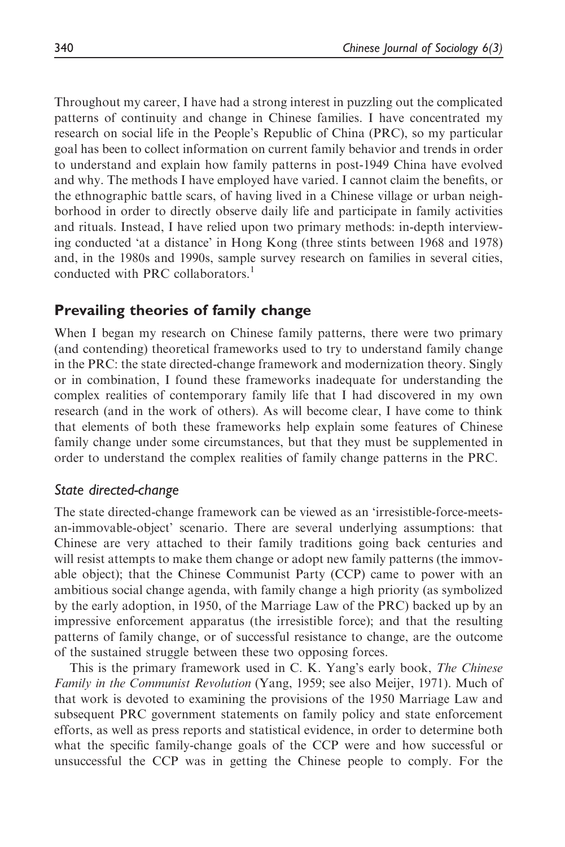Throughout my career, I have had a strong interest in puzzling out the complicated patterns of continuity and change in Chinese families. I have concentrated my research on social life in the People's Republic of China (PRC), so my particular goal has been to collect information on current family behavior and trends in order to understand and explain how family patterns in post-1949 China have evolved and why. The methods I have employed have varied. I cannot claim the benefits, or the ethnographic battle scars, of having lived in a Chinese village or urban neighborhood in order to directly observe daily life and participate in family activities and rituals. Instead, I have relied upon two primary methods: in-depth interviewing conducted 'at a distance' in Hong Kong (three stints between 1968 and 1978) and, in the 1980s and 1990s, sample survey research on families in several cities, conducted with PRC collaborators.<sup>1</sup>

# Prevailing theories of family change

When I began my research on Chinese family patterns, there were two primary (and contending) theoretical frameworks used to try to understand family change in the PRC: the state directed-change framework and modernization theory. Singly or in combination, I found these frameworks inadequate for understanding the complex realities of contemporary family life that I had discovered in my own research (and in the work of others). As will become clear, I have come to think that elements of both these frameworks help explain some features of Chinese family change under some circumstances, but that they must be supplemented in order to understand the complex realities of family change patterns in the PRC.

#### State directed-change

The state directed-change framework can be viewed as an 'irresistible-force-meetsan-immovable-object' scenario. There are several underlying assumptions: that Chinese are very attached to their family traditions going back centuries and will resist attempts to make them change or adopt new family patterns (the immovable object); that the Chinese Communist Party (CCP) came to power with an ambitious social change agenda, with family change a high priority (as symbolized by the early adoption, in 1950, of the Marriage Law of the PRC) backed up by an impressive enforcement apparatus (the irresistible force); and that the resulting patterns of family change, or of successful resistance to change, are the outcome of the sustained struggle between these two opposing forces.

This is the primary framework used in C. K. Yang's early book, The Chinese Family in the Communist Revolution (Yang, 1959; see also Meijer, 1971). Much of that work is devoted to examining the provisions of the 1950 Marriage Law and subsequent PRC government statements on family policy and state enforcement efforts, as well as press reports and statistical evidence, in order to determine both what the specific family-change goals of the CCP were and how successful or unsuccessful the CCP was in getting the Chinese people to comply. For the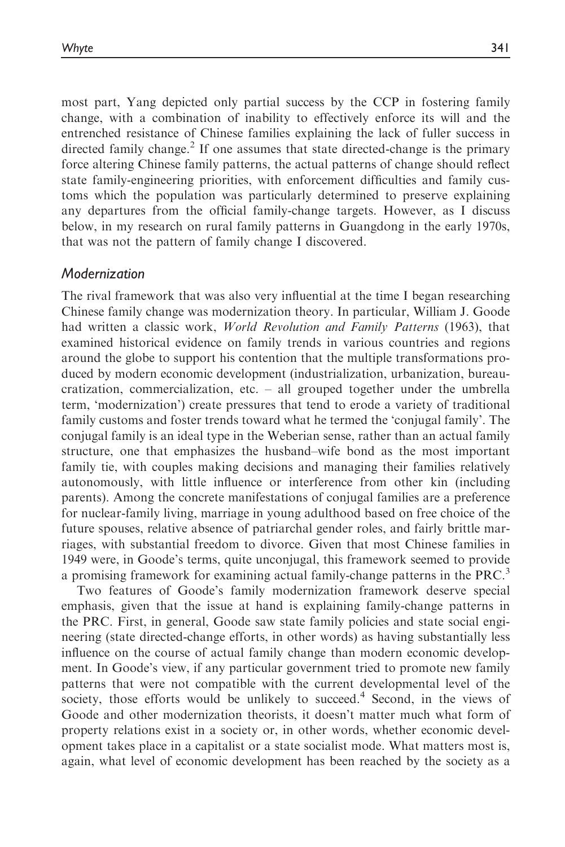most part, Yang depicted only partial success by the CCP in fostering family change, with a combination of inability to effectively enforce its will and the entrenched resistance of Chinese families explaining the lack of fuller success in directed family change.<sup>2</sup> If one assumes that state directed-change is the primary force altering Chinese family patterns, the actual patterns of change should reflect state family-engineering priorities, with enforcement difficulties and family customs which the population was particularly determined to preserve explaining any departures from the official family-change targets. However, as I discuss below, in my research on rural family patterns in Guangdong in the early 1970s, that was not the pattern of family change I discovered.

### Modernization

The rival framework that was also very influential at the time I began researching Chinese family change was modernization theory. In particular, William J. Goode had written a classic work, World Revolution and Family Patterns (1963), that examined historical evidence on family trends in various countries and regions around the globe to support his contention that the multiple transformations produced by modern economic development (industrialization, urbanization, bureaucratization, commercialization, etc. – all grouped together under the umbrella term, 'modernization') create pressures that tend to erode a variety of traditional family customs and foster trends toward what he termed the 'conjugal family'. The conjugal family is an ideal type in the Weberian sense, rather than an actual family structure, one that emphasizes the husband–wife bond as the most important family tie, with couples making decisions and managing their families relatively autonomously, with little influence or interference from other kin (including parents). Among the concrete manifestations of conjugal families are a preference for nuclear-family living, marriage in young adulthood based on free choice of the future spouses, relative absence of patriarchal gender roles, and fairly brittle marriages, with substantial freedom to divorce. Given that most Chinese families in 1949 were, in Goode's terms, quite unconjugal, this framework seemed to provide a promising framework for examining actual family-change patterns in the PRC.<sup>3</sup>

Two features of Goode's family modernization framework deserve special emphasis, given that the issue at hand is explaining family-change patterns in the PRC. First, in general, Goode saw state family policies and state social engineering (state directed-change efforts, in other words) as having substantially less influence on the course of actual family change than modern economic development. In Goode's view, if any particular government tried to promote new family patterns that were not compatible with the current developmental level of the society, those efforts would be unlikely to succeed.<sup>4</sup> Second, in the views of Goode and other modernization theorists, it doesn't matter much what form of property relations exist in a society or, in other words, whether economic development takes place in a capitalist or a state socialist mode. What matters most is, again, what level of economic development has been reached by the society as a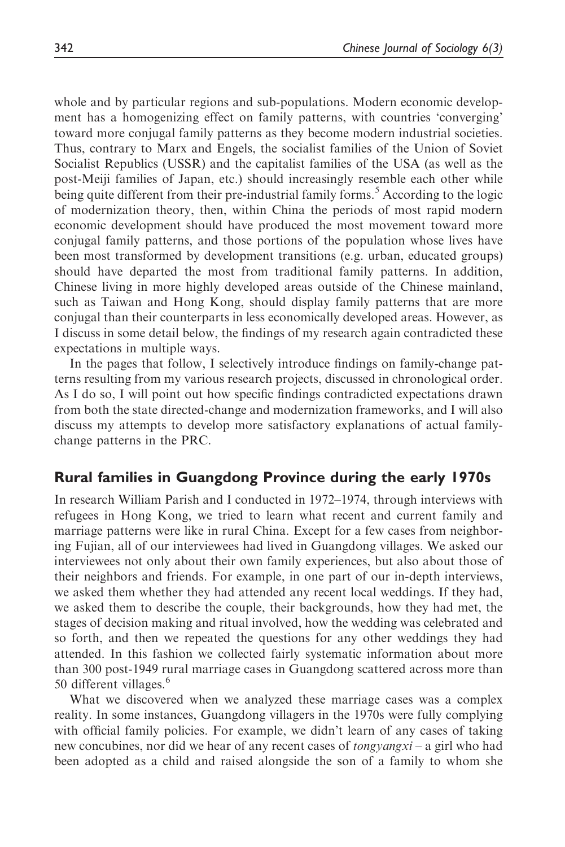whole and by particular regions and sub-populations. Modern economic development has a homogenizing effect on family patterns, with countries 'converging' toward more conjugal family patterns as they become modern industrial societies. Thus, contrary to Marx and Engels, the socialist families of the Union of Soviet Socialist Republics (USSR) and the capitalist families of the USA (as well as the post-Meiji families of Japan, etc.) should increasingly resemble each other while being quite different from their pre-industrial family forms.<sup>5</sup> According to the logic of modernization theory, then, within China the periods of most rapid modern economic development should have produced the most movement toward more conjugal family patterns, and those portions of the population whose lives have been most transformed by development transitions (e.g. urban, educated groups) should have departed the most from traditional family patterns. In addition, Chinese living in more highly developed areas outside of the Chinese mainland, such as Taiwan and Hong Kong, should display family patterns that are more conjugal than their counterparts in less economically developed areas. However, as I discuss in some detail below, the findings of my research again contradicted these expectations in multiple ways.

In the pages that follow, I selectively introduce findings on family-change patterns resulting from my various research projects, discussed in chronological order. As I do so, I will point out how specific findings contradicted expectations drawn from both the state directed-change and modernization frameworks, and I will also discuss my attempts to develop more satisfactory explanations of actual familychange patterns in the PRC.

#### Rural families in Guangdong Province during the early 1970s

In research William Parish and I conducted in 1972–1974, through interviews with refugees in Hong Kong, we tried to learn what recent and current family and marriage patterns were like in rural China. Except for a few cases from neighboring Fujian, all of our interviewees had lived in Guangdong villages. We asked our interviewees not only about their own family experiences, but also about those of their neighbors and friends. For example, in one part of our in-depth interviews, we asked them whether they had attended any recent local weddings. If they had, we asked them to describe the couple, their backgrounds, how they had met, the stages of decision making and ritual involved, how the wedding was celebrated and so forth, and then we repeated the questions for any other weddings they had attended. In this fashion we collected fairly systematic information about more than 300 post-1949 rural marriage cases in Guangdong scattered across more than 50 different villages.<sup>6</sup>

What we discovered when we analyzed these marriage cases was a complex reality. In some instances, Guangdong villagers in the 1970s were fully complying with official family policies. For example, we didn't learn of any cases of taking new concubines, nor did we hear of any recent cases of *tongyangxi* – a girl who had been adopted as a child and raised alongside the son of a family to whom she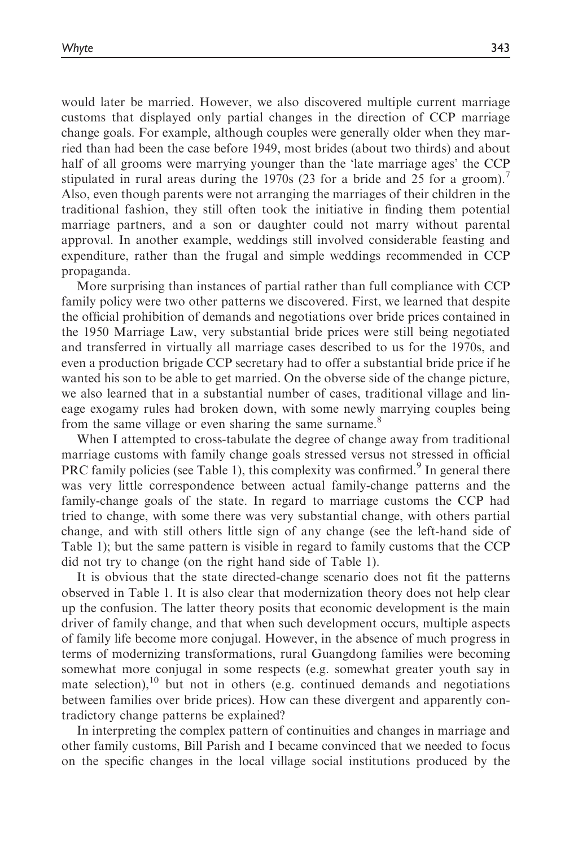would later be married. However, we also discovered multiple current marriage customs that displayed only partial changes in the direction of CCP marriage change goals. For example, although couples were generally older when they married than had been the case before 1949, most brides (about two thirds) and about half of all grooms were marrying younger than the 'late marriage ages' the CCP stipulated in rural areas during the 1970s (23 for a bride and 25 for a groom).<sup>7</sup> Also, even though parents were not arranging the marriages of their children in the traditional fashion, they still often took the initiative in finding them potential marriage partners, and a son or daughter could not marry without parental approval. In another example, weddings still involved considerable feasting and expenditure, rather than the frugal and simple weddings recommended in CCP propaganda.

More surprising than instances of partial rather than full compliance with CCP family policy were two other patterns we discovered. First, we learned that despite the official prohibition of demands and negotiations over bride prices contained in the 1950 Marriage Law, very substantial bride prices were still being negotiated and transferred in virtually all marriage cases described to us for the 1970s, and even a production brigade CCP secretary had to offer a substantial bride price if he wanted his son to be able to get married. On the obverse side of the change picture, we also learned that in a substantial number of cases, traditional village and lineage exogamy rules had broken down, with some newly marrying couples being from the same village or even sharing the same surname.<sup>8</sup>

When I attempted to cross-tabulate the degree of change away from traditional marriage customs with family change goals stressed versus not stressed in official PRC family policies (see Table 1), this complexity was confirmed.<sup>9</sup> In general there was very little correspondence between actual family-change patterns and the family-change goals of the state. In regard to marriage customs the CCP had tried to change, with some there was very substantial change, with others partial change, and with still others little sign of any change (see the left-hand side of Table 1); but the same pattern is visible in regard to family customs that the CCP did not try to change (on the right hand side of Table 1).

It is obvious that the state directed-change scenario does not fit the patterns observed in Table 1. It is also clear that modernization theory does not help clear up the confusion. The latter theory posits that economic development is the main driver of family change, and that when such development occurs, multiple aspects of family life become more conjugal. However, in the absence of much progress in terms of modernizing transformations, rural Guangdong families were becoming somewhat more conjugal in some respects (e.g. somewhat greater youth say in mate selection), $^{10}$  but not in others (e.g. continued demands and negotiations between families over bride prices). How can these divergent and apparently contradictory change patterns be explained?

In interpreting the complex pattern of continuities and changes in marriage and other family customs, Bill Parish and I became convinced that we needed to focus on the specific changes in the local village social institutions produced by the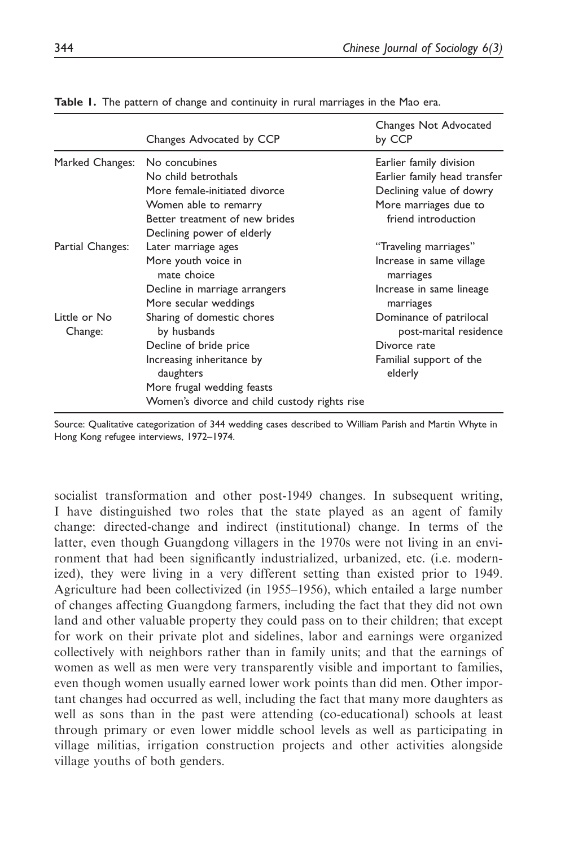|                         | Changes Advocated by CCP                               | Changes Not Advocated<br>by CCP                         |  |  |
|-------------------------|--------------------------------------------------------|---------------------------------------------------------|--|--|
| Marked Changes:         | No concubines<br>No child betrothals                   | Earlier family division<br>Earlier family head transfer |  |  |
|                         | More female-initiated divorce                          | Declining value of dowry                                |  |  |
|                         | Women able to remarry                                  | More marriages due to                                   |  |  |
|                         | Better treatment of new brides                         | friend introduction                                     |  |  |
|                         | Declining power of elderly                             |                                                         |  |  |
| Partial Changes:        | Later marriage ages                                    | "Traveling marriages"                                   |  |  |
|                         | More youth voice in<br>mate choice                     | Increase in same village<br>marriages                   |  |  |
|                         | Decline in marriage arrangers<br>More secular weddings | Increase in same lineage<br>marriages                   |  |  |
| Little or No<br>Change: | Sharing of domestic chores<br>by husbands              | Dominance of patrilocal<br>post-marital residence       |  |  |
|                         | Decline of bride price                                 | Divorce rate                                            |  |  |
|                         | Increasing inheritance by<br>daughters                 | Familial support of the<br>elderly                      |  |  |
|                         | More frugal wedding feasts                             |                                                         |  |  |
|                         | Women's divorce and child custody rights rise          |                                                         |  |  |

Table 1. The pattern of change and continuity in rural marriages in the Mao era.

Source: Qualitative categorization of 344 wedding cases described to William Parish and Martin Whyte in Hong Kong refugee interviews, 1972–1974.

socialist transformation and other post-1949 changes. In subsequent writing, I have distinguished two roles that the state played as an agent of family change: directed-change and indirect (institutional) change. In terms of the latter, even though Guangdong villagers in the 1970s were not living in an environment that had been significantly industrialized, urbanized, etc. (i.e. modernized), they were living in a very different setting than existed prior to 1949. Agriculture had been collectivized (in 1955–1956), which entailed a large number of changes affecting Guangdong farmers, including the fact that they did not own land and other valuable property they could pass on to their children; that except for work on their private plot and sidelines, labor and earnings were organized collectively with neighbors rather than in family units; and that the earnings of women as well as men were very transparently visible and important to families, even though women usually earned lower work points than did men. Other important changes had occurred as well, including the fact that many more daughters as well as sons than in the past were attending (co-educational) schools at least through primary or even lower middle school levels as well as participating in village militias, irrigation construction projects and other activities alongside village youths of both genders.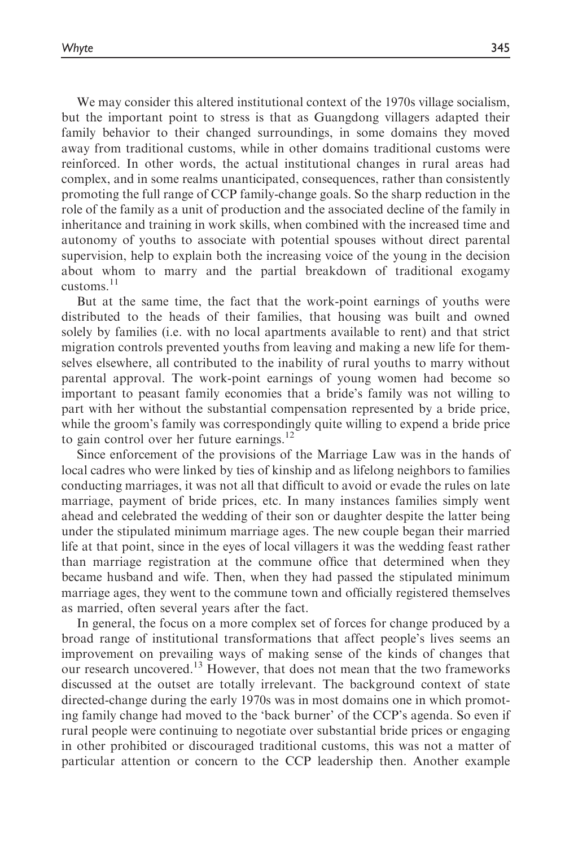We may consider this altered institutional context of the 1970s village socialism, but the important point to stress is that as Guangdong villagers adapted their family behavior to their changed surroundings, in some domains they moved away from traditional customs, while in other domains traditional customs were reinforced. In other words, the actual institutional changes in rural areas had complex, and in some realms unanticipated, consequences, rather than consistently promoting the full range of CCP family-change goals. So the sharp reduction in the role of the family as a unit of production and the associated decline of the family in inheritance and training in work skills, when combined with the increased time and autonomy of youths to associate with potential spouses without direct parental supervision, help to explain both the increasing voice of the young in the decision about whom to marry and the partial breakdown of traditional exogamy  $c$ ustoms. $11$ 

But at the same time, the fact that the work-point earnings of youths were distributed to the heads of their families, that housing was built and owned solely by families (i.e. with no local apartments available to rent) and that strict migration controls prevented youths from leaving and making a new life for themselves elsewhere, all contributed to the inability of rural youths to marry without parental approval. The work-point earnings of young women had become so important to peasant family economies that a bride's family was not willing to part with her without the substantial compensation represented by a bride price, while the groom's family was correspondingly quite willing to expend a bride price to gain control over her future earnings.<sup>12</sup>

Since enforcement of the provisions of the Marriage Law was in the hands of local cadres who were linked by ties of kinship and as lifelong neighbors to families conducting marriages, it was not all that difficult to avoid or evade the rules on late marriage, payment of bride prices, etc. In many instances families simply went ahead and celebrated the wedding of their son or daughter despite the latter being under the stipulated minimum marriage ages. The new couple began their married life at that point, since in the eyes of local villagers it was the wedding feast rather than marriage registration at the commune office that determined when they became husband and wife. Then, when they had passed the stipulated minimum marriage ages, they went to the commune town and officially registered themselves as married, often several years after the fact.

In general, the focus on a more complex set of forces for change produced by a broad range of institutional transformations that affect people's lives seems an improvement on prevailing ways of making sense of the kinds of changes that our research uncovered.<sup>13</sup> However, that does not mean that the two frameworks discussed at the outset are totally irrelevant. The background context of state directed-change during the early 1970s was in most domains one in which promoting family change had moved to the 'back burner' of the CCP's agenda. So even if rural people were continuing to negotiate over substantial bride prices or engaging in other prohibited or discouraged traditional customs, this was not a matter of particular attention or concern to the CCP leadership then. Another example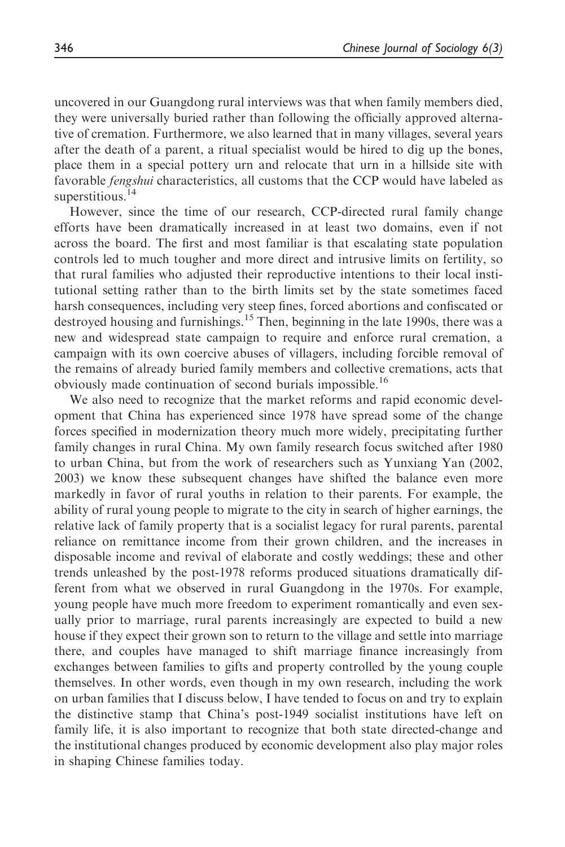uncovered in our Guangdong rural interviews was that when family members died, they were universally buried rather than following the officially approved alternative of cremation. Furthermore, we also learned that in many villages, several years after the death of a parent, a ritual specialist would be hired to dig up the bones, place them in a special pottery urn and relocate that urn in a hillside site with favorable *fengshui* characteristics, all customs that the CCP would have labeled as superstitious. $14$ 

However, since the time of our research, CCP-directed rural family change efforts have been dramatically increased in at least two domains, even if not across the board. The first and most familiar is that escalating state population controls led to much tougher and more direct and intrusive limits on fertility, so that rural families who adjusted their reproductive intentions to their local institutional setting rather than to the birth limits set by the state sometimes faced harsh consequences, including very steep fines, forced abortions and confiscated or destroyed housing and furnishings.<sup>15</sup> Then, beginning in the late 1990s, there was a new and widespread state campaign to require and enforce rural cremation, a campaign with its own coercive abuses of villagers, including forcible removal of the remains of already buried family members and collective cremations, acts that obviously made continuation of second burials impossible.<sup>16</sup>

We also need to recognize that the market reforms and rapid economic development that China has experienced since 1978 have spread some of the change forces specified in modernization theory much more widely, precipitating further family changes in rural China. My own family research focus switched after 1980 to urban China, but from the work of researchers such as Yunxiang Yan (2002, 2003) we know these subsequent changes have shifted the balance even more markedly in favor of rural youths in relation to their parents. For example, the ability of rural young people to migrate to the city in search of higher earnings, the relative lack of family property that is a socialist legacy for rural parents, parental reliance on remittance income from their grown children, and the increases in disposable income and revival of elaborate and costly weddings; these and other trends unleashed by the post-1978 reforms produced situations dramatically different from what we observed in rural Guangdong in the 1970s. For example, young people have much more freedom to experiment romantically and even sexually prior to marriage, rural parents increasingly are expected to build a new house if they expect their grown son to return to the village and settle into marriage there, and couples have managed to shift marriage finance increasingly from exchanges between families to gifts and property controlled by the young couple themselves. In other words, even though in my own research, including the work on urban families that I discuss below, I have tended to focus on and try to explain the distinctive stamp that China's post-1949 socialist institutions have left on family life, it is also important to recognize that both state directed-change and the institutional changes produced by economic development also play major roles in shaping Chinese families today.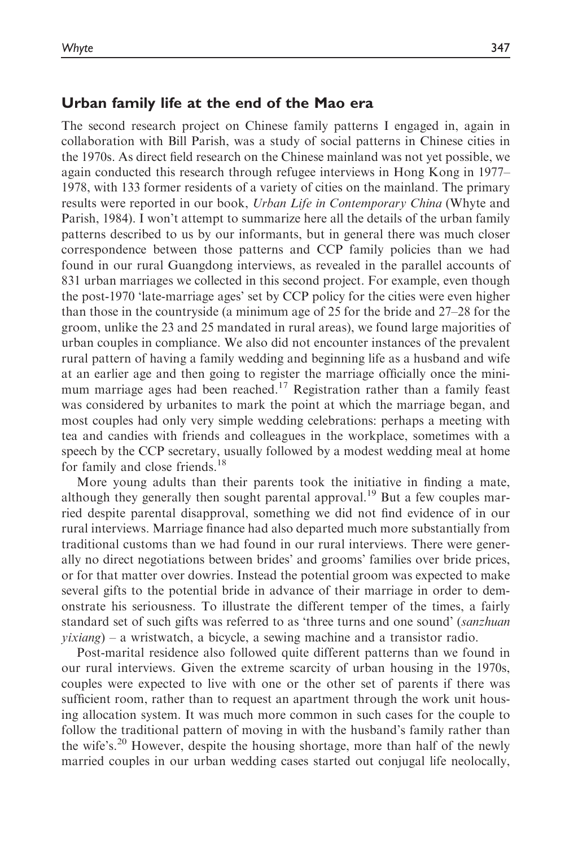#### Urban family life at the end of the Mao era

The second research project on Chinese family patterns I engaged in, again in collaboration with Bill Parish, was a study of social patterns in Chinese cities in the 1970s. As direct field research on the Chinese mainland was not yet possible, we again conducted this research through refugee interviews in Hong Kong in 1977– 1978, with 133 former residents of a variety of cities on the mainland. The primary results were reported in our book, Urban Life in Contemporary China (Whyte and Parish, 1984). I won't attempt to summarize here all the details of the urban family patterns described to us by our informants, but in general there was much closer correspondence between those patterns and CCP family policies than we had found in our rural Guangdong interviews, as revealed in the parallel accounts of 831 urban marriages we collected in this second project. For example, even though the post-1970 'late-marriage ages' set by CCP policy for the cities were even higher than those in the countryside (a minimum age of 25 for the bride and 27–28 for the groom, unlike the 23 and 25 mandated in rural areas), we found large majorities of urban couples in compliance. We also did not encounter instances of the prevalent rural pattern of having a family wedding and beginning life as a husband and wife at an earlier age and then going to register the marriage officially once the minimum marriage ages had been reached.<sup>17</sup> Registration rather than a family feast was considered by urbanites to mark the point at which the marriage began, and most couples had only very simple wedding celebrations: perhaps a meeting with tea and candies with friends and colleagues in the workplace, sometimes with a speech by the CCP secretary, usually followed by a modest wedding meal at home for family and close friends.<sup>18</sup>

More young adults than their parents took the initiative in finding a mate, although they generally then sought parental approval.<sup>19</sup> But a few couples married despite parental disapproval, something we did not find evidence of in our rural interviews. Marriage finance had also departed much more substantially from traditional customs than we had found in our rural interviews. There were generally no direct negotiations between brides' and grooms' families over bride prices, or for that matter over dowries. Instead the potential groom was expected to make several gifts to the potential bride in advance of their marriage in order to demonstrate his seriousness. To illustrate the different temper of the times, a fairly standard set of such gifts was referred to as 'three turns and one sound' (sanzhuan yixiang) – a wristwatch, a bicycle, a sewing machine and a transistor radio.

Post-marital residence also followed quite different patterns than we found in our rural interviews. Given the extreme scarcity of urban housing in the 1970s, couples were expected to live with one or the other set of parents if there was sufficient room, rather than to request an apartment through the work unit housing allocation system. It was much more common in such cases for the couple to follow the traditional pattern of moving in with the husband's family rather than the wife's.<sup>20</sup> However, despite the housing shortage, more than half of the newly married couples in our urban wedding cases started out conjugal life neolocally,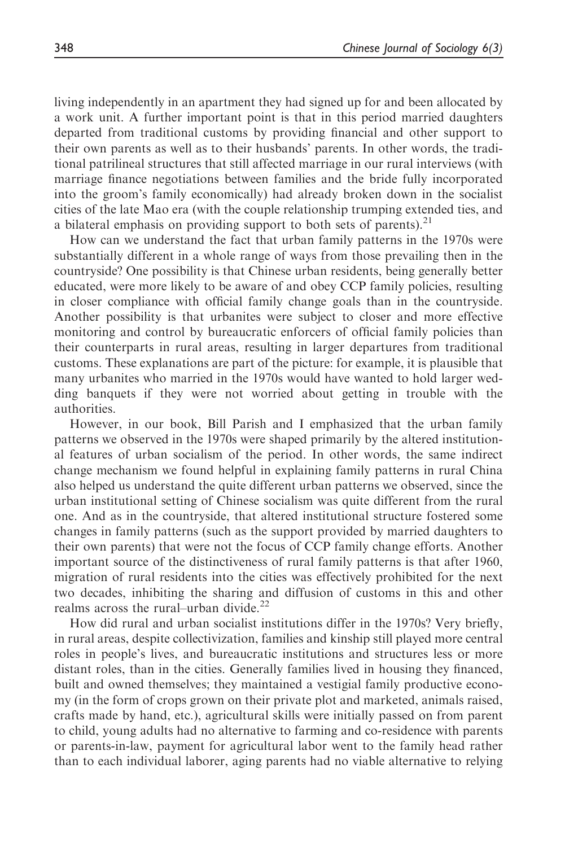living independently in an apartment they had signed up for and been allocated by a work unit. A further important point is that in this period married daughters departed from traditional customs by providing financial and other support to their own parents as well as to their husbands' parents. In other words, the traditional patrilineal structures that still affected marriage in our rural interviews (with marriage finance negotiations between families and the bride fully incorporated into the groom's family economically) had already broken down in the socialist cities of the late Mao era (with the couple relationship trumping extended ties, and a bilateral emphasis on providing support to both sets of parents).<sup>21</sup>

How can we understand the fact that urban family patterns in the 1970s were substantially different in a whole range of ways from those prevailing then in the countryside? One possibility is that Chinese urban residents, being generally better educated, were more likely to be aware of and obey CCP family policies, resulting in closer compliance with official family change goals than in the countryside. Another possibility is that urbanites were subject to closer and more effective monitoring and control by bureaucratic enforcers of official family policies than their counterparts in rural areas, resulting in larger departures from traditional customs. These explanations are part of the picture: for example, it is plausible that many urbanites who married in the 1970s would have wanted to hold larger wedding banquets if they were not worried about getting in trouble with the authorities.

However, in our book, Bill Parish and I emphasized that the urban family patterns we observed in the 1970s were shaped primarily by the altered institutional features of urban socialism of the period. In other words, the same indirect change mechanism we found helpful in explaining family patterns in rural China also helped us understand the quite different urban patterns we observed, since the urban institutional setting of Chinese socialism was quite different from the rural one. And as in the countryside, that altered institutional structure fostered some changes in family patterns (such as the support provided by married daughters to their own parents) that were not the focus of CCP family change efforts. Another important source of the distinctiveness of rural family patterns is that after 1960, migration of rural residents into the cities was effectively prohibited for the next two decades, inhibiting the sharing and diffusion of customs in this and other realms across the rural–urban divide. $^{22}$ 

How did rural and urban socialist institutions differ in the 1970s? Very briefly, in rural areas, despite collectivization, families and kinship still played more central roles in people's lives, and bureaucratic institutions and structures less or more distant roles, than in the cities. Generally families lived in housing they financed, built and owned themselves; they maintained a vestigial family productive economy (in the form of crops grown on their private plot and marketed, animals raised, crafts made by hand, etc.), agricultural skills were initially passed on from parent to child, young adults had no alternative to farming and co-residence with parents or parents-in-law, payment for agricultural labor went to the family head rather than to each individual laborer, aging parents had no viable alternative to relying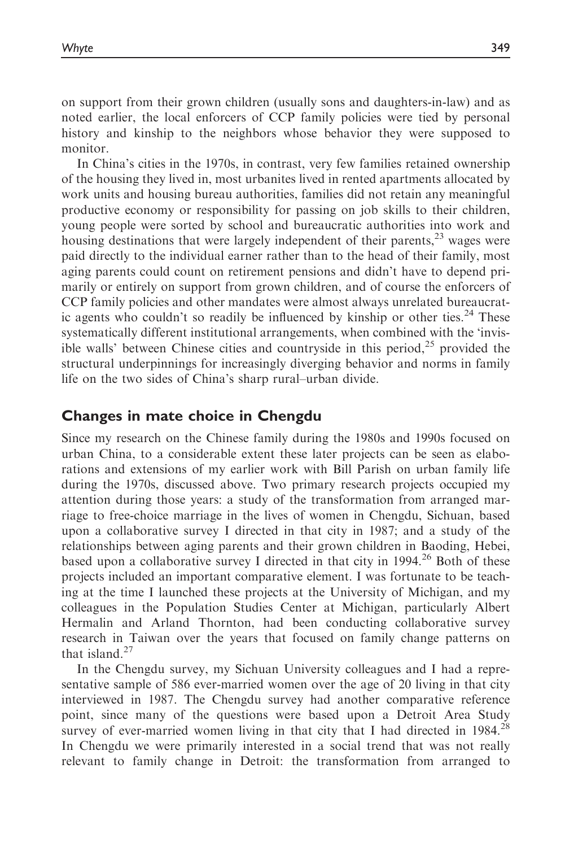on support from their grown children (usually sons and daughters-in-law) and as noted earlier, the local enforcers of CCP family policies were tied by personal history and kinship to the neighbors whose behavior they were supposed to monitor.

In China's cities in the 1970s, in contrast, very few families retained ownership of the housing they lived in, most urbanites lived in rented apartments allocated by work units and housing bureau authorities, families did not retain any meaningful productive economy or responsibility for passing on job skills to their children, young people were sorted by school and bureaucratic authorities into work and housing destinations that were largely independent of their parents,<sup>23</sup> wages were paid directly to the individual earner rather than to the head of their family, most aging parents could count on retirement pensions and didn't have to depend primarily or entirely on support from grown children, and of course the enforcers of CCP family policies and other mandates were almost always unrelated bureaucratic agents who couldn't so readily be influenced by kinship or other ties.<sup>24</sup> These systematically different institutional arrangements, when combined with the 'invisible walls' between Chinese cities and countryside in this period, $2<sup>5</sup>$  provided the structural underpinnings for increasingly diverging behavior and norms in family life on the two sides of China's sharp rural–urban divide.

#### Changes in mate choice in Chengdu

Since my research on the Chinese family during the 1980s and 1990s focused on urban China, to a considerable extent these later projects can be seen as elaborations and extensions of my earlier work with Bill Parish on urban family life during the 1970s, discussed above. Two primary research projects occupied my attention during those years: a study of the transformation from arranged marriage to free-choice marriage in the lives of women in Chengdu, Sichuan, based upon a collaborative survey I directed in that city in 1987; and a study of the relationships between aging parents and their grown children in Baoding, Hebei, based upon a collaborative survey I directed in that city in 1994.<sup>26</sup> Both of these projects included an important comparative element. I was fortunate to be teaching at the time I launched these projects at the University of Michigan, and my colleagues in the Population Studies Center at Michigan, particularly Albert Hermalin and Arland Thornton, had been conducting collaborative survey research in Taiwan over the years that focused on family change patterns on that island. $27$ 

In the Chengdu survey, my Sichuan University colleagues and I had a representative sample of 586 ever-married women over the age of 20 living in that city interviewed in 1987. The Chengdu survey had another comparative reference point, since many of the questions were based upon a Detroit Area Study survey of ever-married women living in that city that I had directed in  $1984.^{28}$ In Chengdu we were primarily interested in a social trend that was not really relevant to family change in Detroit: the transformation from arranged to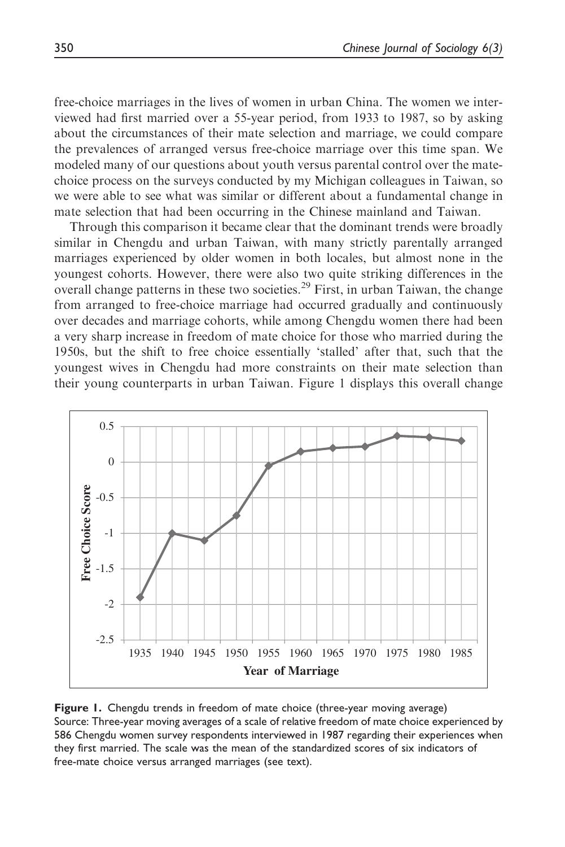free-choice marriages in the lives of women in urban China. The women we interviewed had first married over a 55-year period, from 1933 to 1987, so by asking about the circumstances of their mate selection and marriage, we could compare the prevalences of arranged versus free-choice marriage over this time span. We modeled many of our questions about youth versus parental control over the matechoice process on the surveys conducted by my Michigan colleagues in Taiwan, so we were able to see what was similar or different about a fundamental change in mate selection that had been occurring in the Chinese mainland and Taiwan.

Through this comparison it became clear that the dominant trends were broadly similar in Chengdu and urban Taiwan, with many strictly parentally arranged marriages experienced by older women in both locales, but almost none in the youngest cohorts. However, there were also two quite striking differences in the overall change patterns in these two societies.<sup>29</sup> First, in urban Taiwan, the change from arranged to free-choice marriage had occurred gradually and continuously over decades and marriage cohorts, while among Chengdu women there had been a very sharp increase in freedom of mate choice for those who married during the 1950s, but the shift to free choice essentially 'stalled' after that, such that the youngest wives in Chengdu had more constraints on their mate selection than their young counterparts in urban Taiwan. Figure 1 displays this overall change



Figure 1. Chengdu trends in freedom of mate choice (three-year moving average) Source: Three-year moving averages of a scale of relative freedom of mate choice experienced by 586 Chengdu women survey respondents interviewed in 1987 regarding their experiences when they first married. The scale was the mean of the standardized scores of six indicators of free-mate choice versus arranged marriages (see text).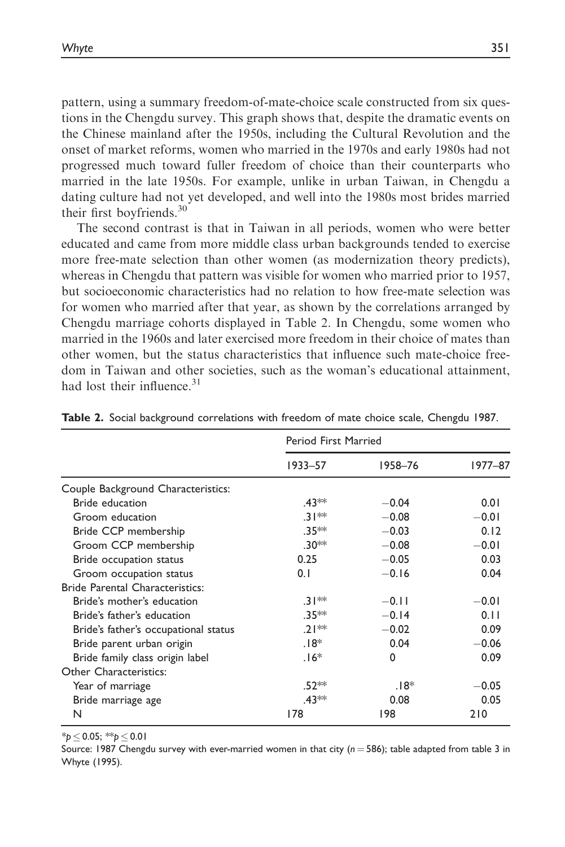pattern, using a summary freedom-of-mate-choice scale constructed from six questions in the Chengdu survey. This graph shows that, despite the dramatic events on the Chinese mainland after the 1950s, including the Cultural Revolution and the onset of market reforms, women who married in the 1970s and early 1980s had not progressed much toward fuller freedom of choice than their counterparts who married in the late 1950s. For example, unlike in urban Taiwan, in Chengdu a dating culture had not yet developed, and well into the 1980s most brides married their first boyfriends. $30$ 

The second contrast is that in Taiwan in all periods, women who were better educated and came from more middle class urban backgrounds tended to exercise more free-mate selection than other women (as modernization theory predicts), whereas in Chengdu that pattern was visible for women who married prior to 1957, but socioeconomic characteristics had no relation to how free-mate selection was for women who married after that year, as shown by the correlations arranged by Chengdu marriage cohorts displayed in Table 2. In Chengdu, some women who married in the 1960s and later exercised more freedom in their choice of mates than other women, but the status characteristics that influence such mate-choice freedom in Taiwan and other societies, such as the woman's educational attainment, had lost their influence.<sup>31</sup>

|                                        | <b>Period First Married</b> |         |             |
|----------------------------------------|-----------------------------|---------|-------------|
|                                        | $1933 - 57$                 | 1958-76 | $1977 - 87$ |
| Couple Background Characteristics:     |                             |         |             |
| <b>Bride education</b>                 | $.43**$                     | $-0.04$ | 0.01        |
| Groom education                        | $.31**$                     | $-0.08$ | $-0.01$     |
| Bride CCP membership                   | $.35**$                     | $-0.03$ | 0.12        |
| Groom CCP membership                   | .30 <sup>*</sup> *          | $-0.08$ | $-0.01$     |
| Bride occupation status                | 0.25                        | $-0.05$ | 0.03        |
| Groom occupation status                | 0.1                         | $-0.16$ | 0.04        |
| <b>Bride Parental Characteristics:</b> |                             |         |             |
| Bride's mother's education             | $.31**$                     | $-0.11$ | $-0.01$     |
| Bride's father's education             | $.35**$                     | $-0.14$ | 0.11        |
| Bride's father's occupational status   | $.21**$                     | $-0.02$ | 0.09        |
| Bride parent urban origin              | $.18*$                      | 0.04    | $-0.06$     |
| Bride family class origin label        | $.16*$                      | 0       | 0.09        |
| Other Characteristics:                 |                             |         |             |
| Year of marriage                       | $.52**$                     | .18*    | $-0.05$     |
| Bride marriage age                     | $.43**$                     | 0.08    | 0.05        |
| N                                      | 178                         | 198     | 210         |

|  | Table 2. Social background correlations with freedom of mate choice scale, Chengdu 1987. |  |  |  |  |  |  |  |
|--|------------------------------------------------------------------------------------------|--|--|--|--|--|--|--|
|--|------------------------------------------------------------------------------------------|--|--|--|--|--|--|--|

 $*_{p}$  < 0.05;  $*_{p}$  < 0.01

Source: 1987 Chengdu survey with ever-married women in that city ( $n = 586$ ); table adapted from table 3 in Whyte (1995).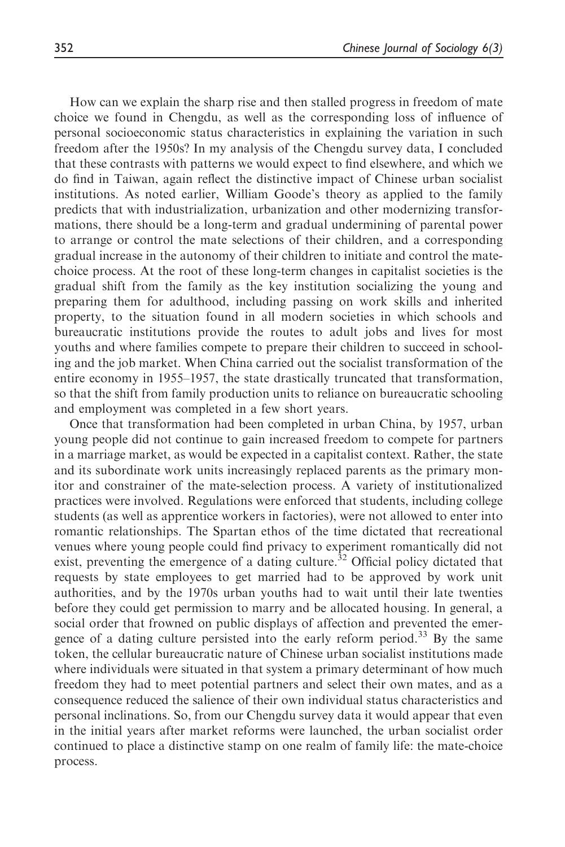How can we explain the sharp rise and then stalled progress in freedom of mate choice we found in Chengdu, as well as the corresponding loss of influence of personal socioeconomic status characteristics in explaining the variation in such freedom after the 1950s? In my analysis of the Chengdu survey data, I concluded that these contrasts with patterns we would expect to find elsewhere, and which we do find in Taiwan, again reflect the distinctive impact of Chinese urban socialist institutions. As noted earlier, William Goode's theory as applied to the family predicts that with industrialization, urbanization and other modernizing transformations, there should be a long-term and gradual undermining of parental power to arrange or control the mate selections of their children, and a corresponding gradual increase in the autonomy of their children to initiate and control the matechoice process. At the root of these long-term changes in capitalist societies is the gradual shift from the family as the key institution socializing the young and preparing them for adulthood, including passing on work skills and inherited property, to the situation found in all modern societies in which schools and bureaucratic institutions provide the routes to adult jobs and lives for most youths and where families compete to prepare their children to succeed in schooling and the job market. When China carried out the socialist transformation of the entire economy in 1955–1957, the state drastically truncated that transformation, so that the shift from family production units to reliance on bureaucratic schooling and employment was completed in a few short years.

Once that transformation had been completed in urban China, by 1957, urban young people did not continue to gain increased freedom to compete for partners in a marriage market, as would be expected in a capitalist context. Rather, the state and its subordinate work units increasingly replaced parents as the primary monitor and constrainer of the mate-selection process. A variety of institutionalized practices were involved. Regulations were enforced that students, including college students (as well as apprentice workers in factories), were not allowed to enter into romantic relationships. The Spartan ethos of the time dictated that recreational venues where young people could find privacy to experiment romantically did not exist, preventing the emergence of a dating culture.<sup>32</sup> Official policy dictated that requests by state employees to get married had to be approved by work unit authorities, and by the 1970s urban youths had to wait until their late twenties before they could get permission to marry and be allocated housing. In general, a social order that frowned on public displays of affection and prevented the emergence of a dating culture persisted into the early reform period.<sup>33</sup> By the same token, the cellular bureaucratic nature of Chinese urban socialist institutions made where individuals were situated in that system a primary determinant of how much freedom they had to meet potential partners and select their own mates, and as a consequence reduced the salience of their own individual status characteristics and personal inclinations. So, from our Chengdu survey data it would appear that even in the initial years after market reforms were launched, the urban socialist order continued to place a distinctive stamp on one realm of family life: the mate-choice process.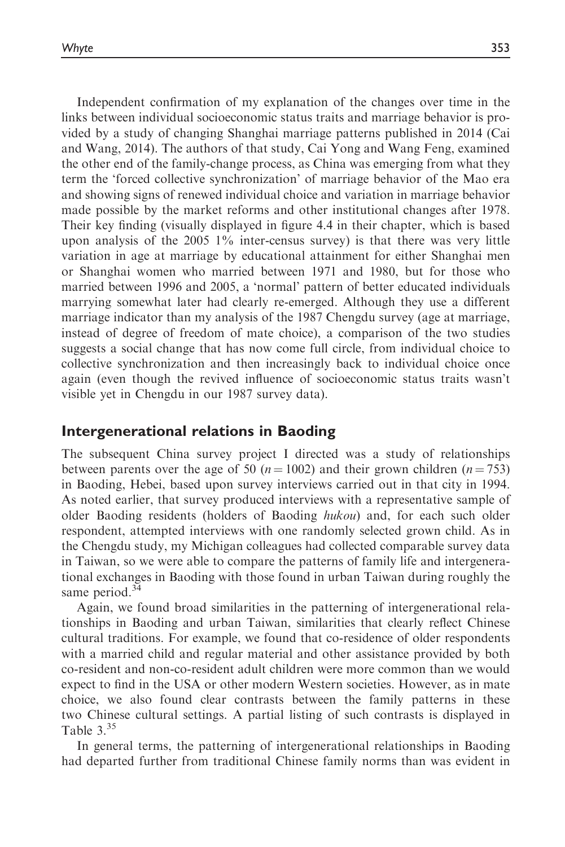Independent confirmation of my explanation of the changes over time in the links between individual socioeconomic status traits and marriage behavior is provided by a study of changing Shanghai marriage patterns published in 2014 (Cai and Wang, 2014). The authors of that study, Cai Yong and Wang Feng, examined the other end of the family-change process, as China was emerging from what they term the 'forced collective synchronization' of marriage behavior of the Mao era and showing signs of renewed individual choice and variation in marriage behavior made possible by the market reforms and other institutional changes after 1978. Their key finding (visually displayed in figure 4.4 in their chapter, which is based upon analysis of the 2005 1% inter-census survey) is that there was very little variation in age at marriage by educational attainment for either Shanghai men or Shanghai women who married between 1971 and 1980, but for those who married between 1996 and 2005, a 'normal' pattern of better educated individuals marrying somewhat later had clearly re-emerged. Although they use a different marriage indicator than my analysis of the 1987 Chengdu survey (age at marriage, instead of degree of freedom of mate choice), a comparison of the two studies suggests a social change that has now come full circle, from individual choice to collective synchronization and then increasingly back to individual choice once again (even though the revived influence of socioeconomic status traits wasn't visible yet in Chengdu in our 1987 survey data).

# Intergenerational relations in Baoding

The subsequent China survey project I directed was a study of relationships between parents over the age of 50 ( $n = 1002$ ) and their grown children ( $n = 753$ ) in Baoding, Hebei, based upon survey interviews carried out in that city in 1994. As noted earlier, that survey produced interviews with a representative sample of older Baoding residents (holders of Baoding hukou) and, for each such older respondent, attempted interviews with one randomly selected grown child. As in the Chengdu study, my Michigan colleagues had collected comparable survey data in Taiwan, so we were able to compare the patterns of family life and intergenerational exchanges in Baoding with those found in urban Taiwan during roughly the same period.<sup>34</sup>

Again, we found broad similarities in the patterning of intergenerational relationships in Baoding and urban Taiwan, similarities that clearly reflect Chinese cultural traditions. For example, we found that co-residence of older respondents with a married child and regular material and other assistance provided by both co-resident and non-co-resident adult children were more common than we would expect to find in the USA or other modern Western societies. However, as in mate choice, we also found clear contrasts between the family patterns in these two Chinese cultural settings. A partial listing of such contrasts is displayed in Table 3.<sup>35</sup>

In general terms, the patterning of intergenerational relationships in Baoding had departed further from traditional Chinese family norms than was evident in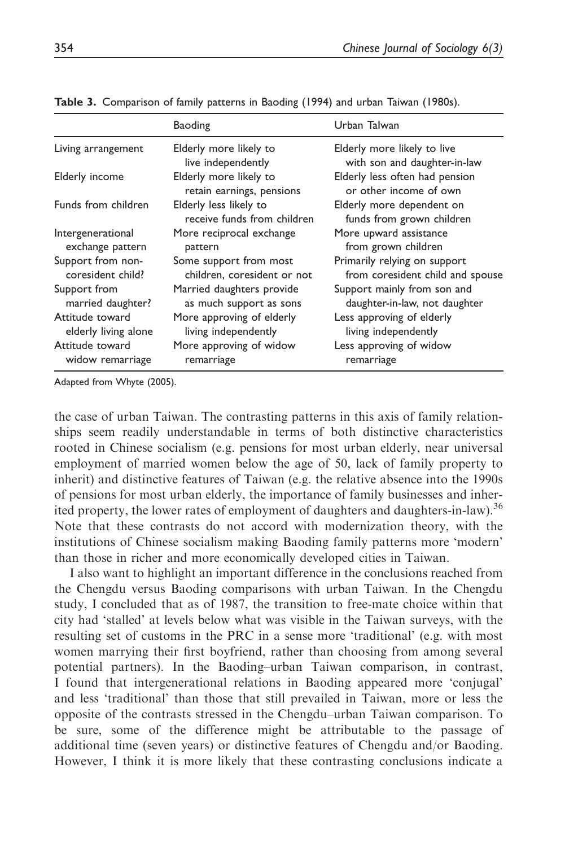|                      | <b>Baoding</b>                                        | Urban Talwan                                                |
|----------------------|-------------------------------------------------------|-------------------------------------------------------------|
| Living arrangement   | Elderly more likely to<br>live independently          | Elderly more likely to live<br>with son and daughter-in-law |
| Elderly income       | Elderly more likely to<br>retain earnings, pensions   | Elderly less often had pension<br>or other income of own    |
| Funds from children  | Elderly less likely to<br>receive funds from children | Elderly more dependent on<br>funds from grown children      |
| Intergenerational    | More reciprocal exchange                              | More upward assistance                                      |
| exchange pattern     | pattern                                               | from grown children                                         |
| Support from non-    | Some support from most                                | Primarily relying on support                                |
| coresident child?    | children, coresident or not                           | from coresident child and spouse                            |
| Support from         | Married daughters provide                             | Support mainly from son and                                 |
| married daughter?    | as much support as sons                               | daughter-in-law, not daughter                               |
| Attitude toward      | More approving of elderly                             | Less approving of elderly                                   |
| elderly living alone | living independently                                  | living independently                                        |
| Attitude toward      | More approving of widow                               | Less approving of widow                                     |
| widow remarriage     | remarriage                                            | remarriage                                                  |

Table 3. Comparison of family patterns in Baoding (1994) and urban Taiwan (1980s).

Adapted from Whyte (2005).

the case of urban Taiwan. The contrasting patterns in this axis of family relationships seem readily understandable in terms of both distinctive characteristics rooted in Chinese socialism (e.g. pensions for most urban elderly, near universal employment of married women below the age of 50, lack of family property to inherit) and distinctive features of Taiwan (e.g. the relative absence into the 1990s of pensions for most urban elderly, the importance of family businesses and inherited property, the lower rates of employment of daughters and daughters-in-law).<sup>36</sup> Note that these contrasts do not accord with modernization theory, with the institutions of Chinese socialism making Baoding family patterns more 'modern' than those in richer and more economically developed cities in Taiwan.

I also want to highlight an important difference in the conclusions reached from the Chengdu versus Baoding comparisons with urban Taiwan. In the Chengdu study, I concluded that as of 1987, the transition to free-mate choice within that city had 'stalled' at levels below what was visible in the Taiwan surveys, with the resulting set of customs in the PRC in a sense more 'traditional' (e.g. with most women marrying their first boyfriend, rather than choosing from among several potential partners). In the Baoding–urban Taiwan comparison, in contrast, I found that intergenerational relations in Baoding appeared more 'conjugal' and less 'traditional' than those that still prevailed in Taiwan, more or less the opposite of the contrasts stressed in the Chengdu–urban Taiwan comparison. To be sure, some of the difference might be attributable to the passage of additional time (seven years) or distinctive features of Chengdu and/or Baoding. However, I think it is more likely that these contrasting conclusions indicate a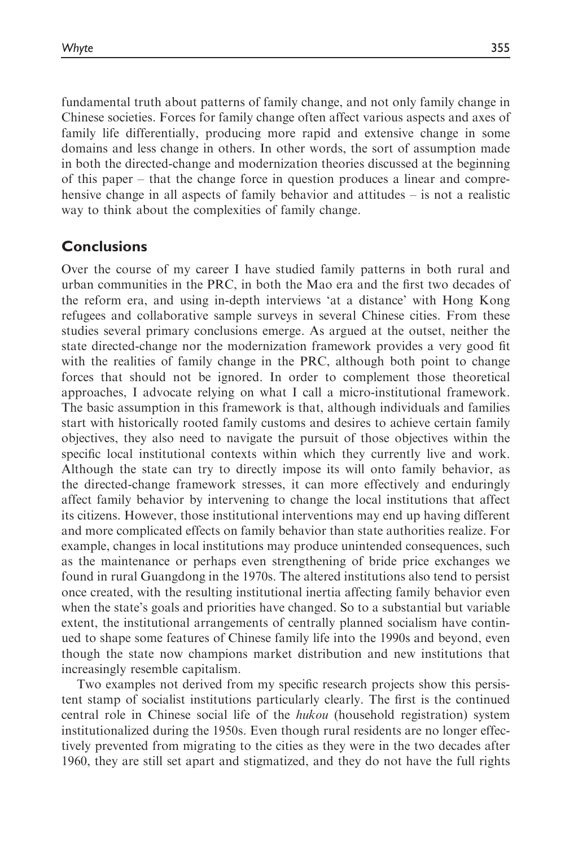fundamental truth about patterns of family change, and not only family change in Chinese societies. Forces for family change often affect various aspects and axes of family life differentially, producing more rapid and extensive change in some domains and less change in others. In other words, the sort of assumption made in both the directed-change and modernization theories discussed at the beginning of this paper – that the change force in question produces a linear and comprehensive change in all aspects of family behavior and attitudes – is not a realistic way to think about the complexities of family change.

# **Conclusions**

Over the course of my career I have studied family patterns in both rural and urban communities in the PRC, in both the Mao era and the first two decades of the reform era, and using in-depth interviews 'at a distance' with Hong Kong refugees and collaborative sample surveys in several Chinese cities. From these studies several primary conclusions emerge. As argued at the outset, neither the state directed-change nor the modernization framework provides a very good fit with the realities of family change in the PRC, although both point to change forces that should not be ignored. In order to complement those theoretical approaches, I advocate relying on what I call a micro-institutional framework. The basic assumption in this framework is that, although individuals and families start with historically rooted family customs and desires to achieve certain family objectives, they also need to navigate the pursuit of those objectives within the specific local institutional contexts within which they currently live and work. Although the state can try to directly impose its will onto family behavior, as the directed-change framework stresses, it can more effectively and enduringly affect family behavior by intervening to change the local institutions that affect its citizens. However, those institutional interventions may end up having different and more complicated effects on family behavior than state authorities realize. For example, changes in local institutions may produce unintended consequences, such as the maintenance or perhaps even strengthening of bride price exchanges we found in rural Guangdong in the 1970s. The altered institutions also tend to persist once created, with the resulting institutional inertia affecting family behavior even when the state's goals and priorities have changed. So to a substantial but variable extent, the institutional arrangements of centrally planned socialism have continued to shape some features of Chinese family life into the 1990s and beyond, even though the state now champions market distribution and new institutions that increasingly resemble capitalism.

Two examples not derived from my specific research projects show this persistent stamp of socialist institutions particularly clearly. The first is the continued central role in Chinese social life of the hukou (household registration) system institutionalized during the 1950s. Even though rural residents are no longer effectively prevented from migrating to the cities as they were in the two decades after 1960, they are still set apart and stigmatized, and they do not have the full rights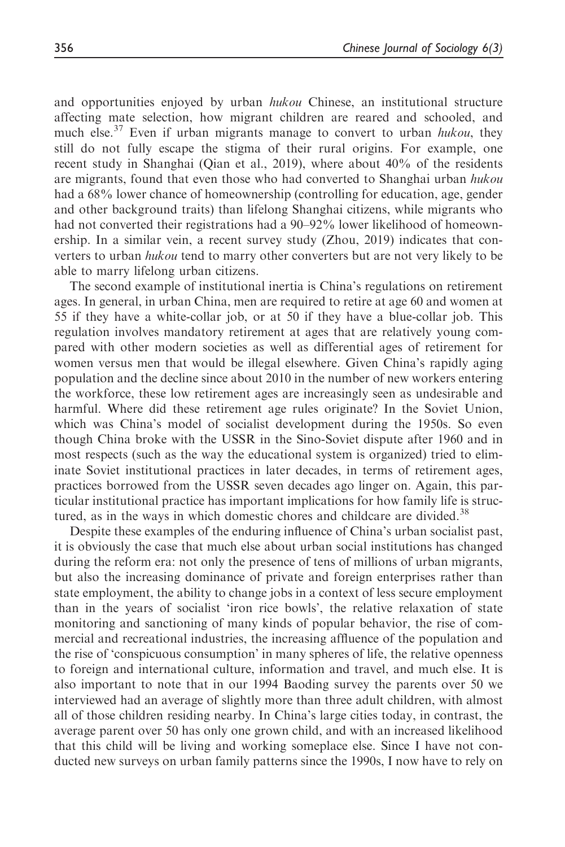and opportunities enjoyed by urban *hukou* Chinese, an institutional structure affecting mate selection, how migrant children are reared and schooled, and much else.<sup>37</sup> Even if urban migrants manage to convert to urban hukou, they still do not fully escape the stigma of their rural origins. For example, one recent study in Shanghai (Qian et al., 2019), where about 40% of the residents are migrants, found that even those who had converted to Shanghai urban hukou had a 68% lower chance of homeownership (controlling for education, age, gender and other background traits) than lifelong Shanghai citizens, while migrants who had not converted their registrations had a 90–92% lower likelihood of homeownership. In a similar vein, a recent survey study (Zhou, 2019) indicates that converters to urban *hukou* tend to marry other converters but are not very likely to be able to marry lifelong urban citizens.

The second example of institutional inertia is China's regulations on retirement ages. In general, in urban China, men are required to retire at age 60 and women at 55 if they have a white-collar job, or at 50 if they have a blue-collar job. This regulation involves mandatory retirement at ages that are relatively young compared with other modern societies as well as differential ages of retirement for women versus men that would be illegal elsewhere. Given China's rapidly aging population and the decline since about 2010 in the number of new workers entering the workforce, these low retirement ages are increasingly seen as undesirable and harmful. Where did these retirement age rules originate? In the Soviet Union, which was China's model of socialist development during the 1950s. So even though China broke with the USSR in the Sino-Soviet dispute after 1960 and in most respects (such as the way the educational system is organized) tried to eliminate Soviet institutional practices in later decades, in terms of retirement ages, practices borrowed from the USSR seven decades ago linger on. Again, this particular institutional practice has important implications for how family life is structured, as in the ways in which domestic chores and childcare are divided.<sup>38</sup>

Despite these examples of the enduring influence of China's urban socialist past, it is obviously the case that much else about urban social institutions has changed during the reform era: not only the presence of tens of millions of urban migrants, but also the increasing dominance of private and foreign enterprises rather than state employment, the ability to change jobs in a context of less secure employment than in the years of socialist 'iron rice bowls', the relative relaxation of state monitoring and sanctioning of many kinds of popular behavior, the rise of commercial and recreational industries, the increasing affluence of the population and the rise of 'conspicuous consumption' in many spheres of life, the relative openness to foreign and international culture, information and travel, and much else. It is also important to note that in our 1994 Baoding survey the parents over 50 we interviewed had an average of slightly more than three adult children, with almost all of those children residing nearby. In China's large cities today, in contrast, the average parent over 50 has only one grown child, and with an increased likelihood that this child will be living and working someplace else. Since I have not conducted new surveys on urban family patterns since the 1990s, I now have to rely on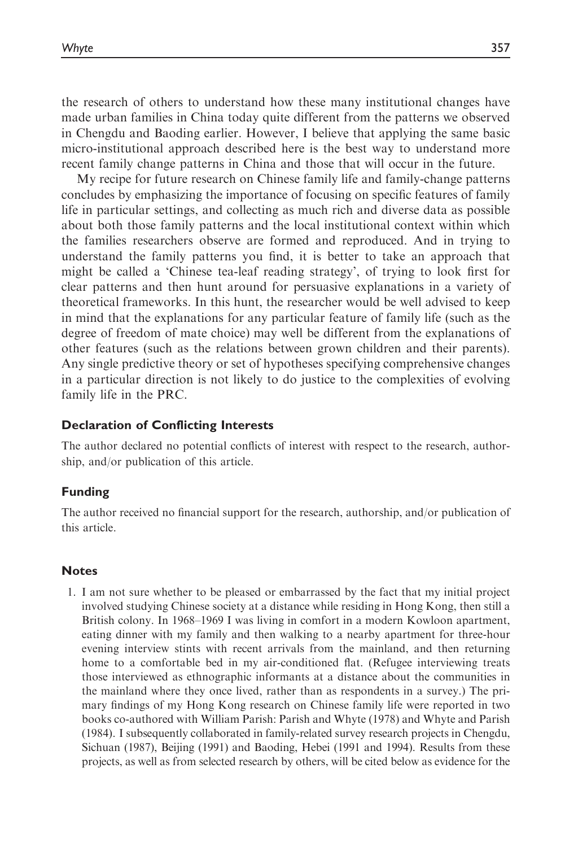the research of others to understand how these many institutional changes have made urban families in China today quite different from the patterns we observed in Chengdu and Baoding earlier. However, I believe that applying the same basic micro-institutional approach described here is the best way to understand more recent family change patterns in China and those that will occur in the future.

My recipe for future research on Chinese family life and family-change patterns concludes by emphasizing the importance of focusing on specific features of family life in particular settings, and collecting as much rich and diverse data as possible about both those family patterns and the local institutional context within which the families researchers observe are formed and reproduced. And in trying to understand the family patterns you find, it is better to take an approach that might be called a 'Chinese tea-leaf reading strategy', of trying to look first for clear patterns and then hunt around for persuasive explanations in a variety of theoretical frameworks. In this hunt, the researcher would be well advised to keep in mind that the explanations for any particular feature of family life (such as the degree of freedom of mate choice) may well be different from the explanations of other features (such as the relations between grown children and their parents). Any single predictive theory or set of hypotheses specifying comprehensive changes in a particular direction is not likely to do justice to the complexities of evolving family life in the PRC.

#### Declaration of Conflicting Interests

The author declared no potential conflicts of interest with respect to the research, authorship, and/or publication of this article.

#### Funding

The author received no financial support for the research, authorship, and/or publication of this article.

#### **Notes**

1. I am not sure whether to be pleased or embarrassed by the fact that my initial project involved studying Chinese society at a distance while residing in Hong Kong, then still a British colony. In 1968–1969 I was living in comfort in a modern Kowloon apartment, eating dinner with my family and then walking to a nearby apartment for three-hour evening interview stints with recent arrivals from the mainland, and then returning home to a comfortable bed in my air-conditioned flat. (Refugee interviewing treats those interviewed as ethnographic informants at a distance about the communities in the mainland where they once lived, rather than as respondents in a survey.) The primary findings of my Hong Kong research on Chinese family life were reported in two books co-authored with William Parish: Parish and Whyte (1978) and Whyte and Parish (1984). I subsequently collaborated in family-related survey research projects in Chengdu, Sichuan (1987), Beijing (1991) and Baoding, Hebei (1991 and 1994). Results from these projects, as well as from selected research by others, will be cited below as evidence for the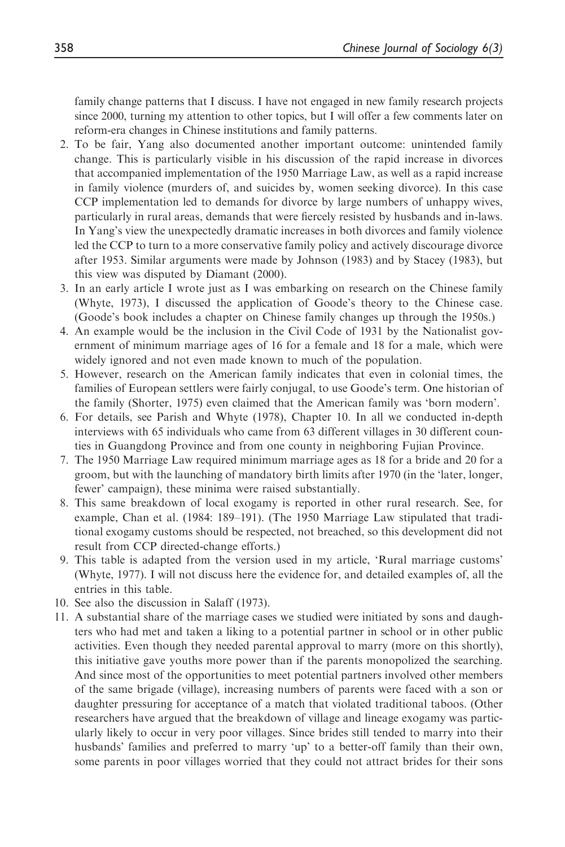family change patterns that I discuss. I have not engaged in new family research projects since 2000, turning my attention to other topics, but I will offer a few comments later on reform-era changes in Chinese institutions and family patterns.

- 2. To be fair, Yang also documented another important outcome: unintended family change. This is particularly visible in his discussion of the rapid increase in divorces that accompanied implementation of the 1950 Marriage Law, as well as a rapid increase in family violence (murders of, and suicides by, women seeking divorce). In this case CCP implementation led to demands for divorce by large numbers of unhappy wives, particularly in rural areas, demands that were fiercely resisted by husbands and in-laws. In Yang's view the unexpectedly dramatic increases in both divorces and family violence led the CCP to turn to a more conservative family policy and actively discourage divorce after 1953. Similar arguments were made by Johnson (1983) and by Stacey (1983), but this view was disputed by Diamant (2000).
- 3. In an early article I wrote just as I was embarking on research on the Chinese family (Whyte, 1973), I discussed the application of Goode's theory to the Chinese case. (Goode's book includes a chapter on Chinese family changes up through the 1950s.)
- 4. An example would be the inclusion in the Civil Code of 1931 by the Nationalist government of minimum marriage ages of 16 for a female and 18 for a male, which were widely ignored and not even made known to much of the population.
- 5. However, research on the American family indicates that even in colonial times, the families of European settlers were fairly conjugal, to use Goode's term. One historian of the family (Shorter, 1975) even claimed that the American family was 'born modern'.
- 6. For details, see Parish and Whyte (1978), Chapter 10. In all we conducted in-depth interviews with 65 individuals who came from 63 different villages in 30 different counties in Guangdong Province and from one county in neighboring Fujian Province.
- 7. The 1950 Marriage Law required minimum marriage ages as 18 for a bride and 20 for a groom, but with the launching of mandatory birth limits after 1970 (in the 'later, longer, fewer' campaign), these minima were raised substantially.
- 8. This same breakdown of local exogamy is reported in other rural research. See, for example, Chan et al. (1984: 189–191). (The 1950 Marriage Law stipulated that traditional exogamy customs should be respected, not breached, so this development did not result from CCP directed-change efforts.)
- 9. This table is adapted from the version used in my article, 'Rural marriage customs' (Whyte, 1977). I will not discuss here the evidence for, and detailed examples of, all the entries in this table.
- 10. See also the discussion in Salaff (1973).
- 11. A substantial share of the marriage cases we studied were initiated by sons and daughters who had met and taken a liking to a potential partner in school or in other public activities. Even though they needed parental approval to marry (more on this shortly), this initiative gave youths more power than if the parents monopolized the searching. And since most of the opportunities to meet potential partners involved other members of the same brigade (village), increasing numbers of parents were faced with a son or daughter pressuring for acceptance of a match that violated traditional taboos. (Other researchers have argued that the breakdown of village and lineage exogamy was particularly likely to occur in very poor villages. Since brides still tended to marry into their husbands' families and preferred to marry 'up' to a better-off family than their own, some parents in poor villages worried that they could not attract brides for their sons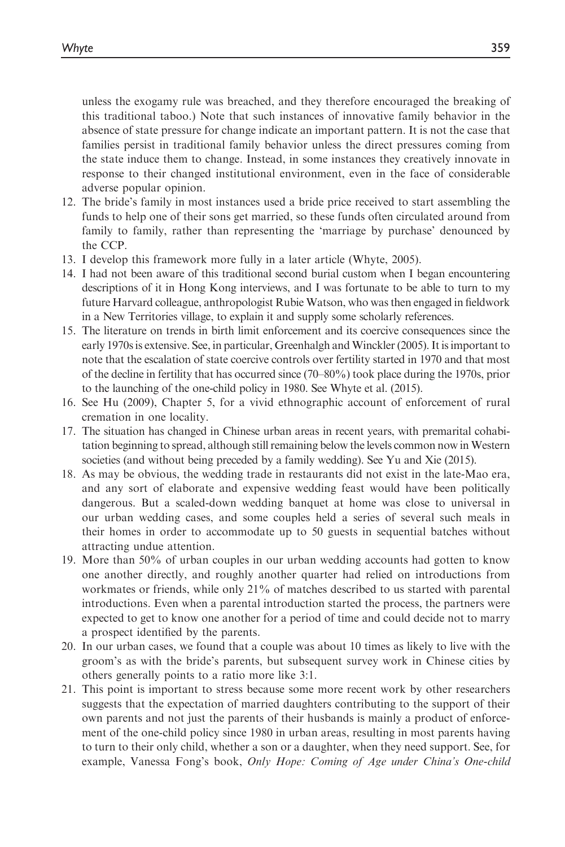unless the exogamy rule was breached, and they therefore encouraged the breaking of this traditional taboo.) Note that such instances of innovative family behavior in the absence of state pressure for change indicate an important pattern. It is not the case that families persist in traditional family behavior unless the direct pressures coming from the state induce them to change. Instead, in some instances they creatively innovate in response to their changed institutional environment, even in the face of considerable adverse popular opinion.

- 12. The bride's family in most instances used a bride price received to start assembling the funds to help one of their sons get married, so these funds often circulated around from family to family, rather than representing the 'marriage by purchase' denounced by the CCP.
- 13. I develop this framework more fully in a later article (Whyte, 2005).
- 14. I had not been aware of this traditional second burial custom when I began encountering descriptions of it in Hong Kong interviews, and I was fortunate to be able to turn to my future Harvard colleague, anthropologist Rubie Watson, who was then engaged in fieldwork in a New Territories village, to explain it and supply some scholarly references.
- 15. The literature on trends in birth limit enforcement and its coercive consequences since the early 1970s is extensive. See, in particular, Greenhalgh and Winckler (2005). It is important to note that the escalation of state coercive controls over fertility started in 1970 and that most of the decline in fertility that has occurred since (70–80%) took place during the 1970s, prior to the launching of the one-child policy in 1980. See Whyte et al. (2015).
- 16. See Hu (2009), Chapter 5, for a vivid ethnographic account of enforcement of rural cremation in one locality.
- 17. The situation has changed in Chinese urban areas in recent years, with premarital cohabitation beginning to spread, although still remaining below the levels common now in Western societies (and without being preceded by a family wedding). See Yu and Xie (2015).
- 18. As may be obvious, the wedding trade in restaurants did not exist in the late-Mao era, and any sort of elaborate and expensive wedding feast would have been politically dangerous. But a scaled-down wedding banquet at home was close to universal in our urban wedding cases, and some couples held a series of several such meals in their homes in order to accommodate up to 50 guests in sequential batches without attracting undue attention.
- 19. More than 50% of urban couples in our urban wedding accounts had gotten to know one another directly, and roughly another quarter had relied on introductions from workmates or friends, while only 21% of matches described to us started with parental introductions. Even when a parental introduction started the process, the partners were expected to get to know one another for a period of time and could decide not to marry a prospect identified by the parents.
- 20. In our urban cases, we found that a couple was about 10 times as likely to live with the groom's as with the bride's parents, but subsequent survey work in Chinese cities by others generally points to a ratio more like 3:1.
- 21. This point is important to stress because some more recent work by other researchers suggests that the expectation of married daughters contributing to the support of their own parents and not just the parents of their husbands is mainly a product of enforcement of the one-child policy since 1980 in urban areas, resulting in most parents having to turn to their only child, whether a son or a daughter, when they need support. See, for example, Vanessa Fong's book, *Only Hope: Coming of Age under China's One-child*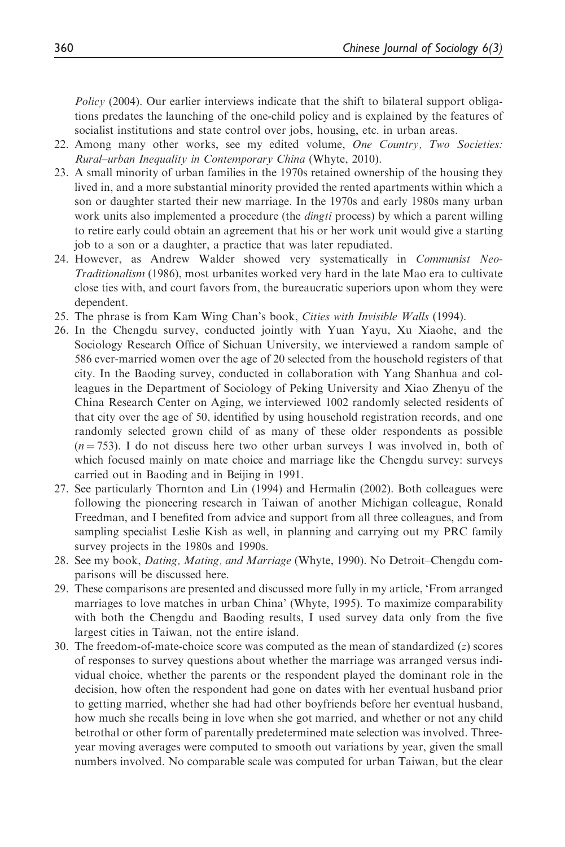Policy (2004). Our earlier interviews indicate that the shift to bilateral support obligations predates the launching of the one-child policy and is explained by the features of socialist institutions and state control over jobs, housing, etc. in urban areas.

- 22. Among many other works, see my edited volume, One Country, Two Societies: Rural–urban Inequality in Contemporary China (Whyte, 2010).
- 23. A small minority of urban families in the 1970s retained ownership of the housing they lived in, and a more substantial minority provided the rented apartments within which a son or daughter started their new marriage. In the 1970s and early 1980s many urban work units also implemented a procedure (the *dingti* process) by which a parent willing to retire early could obtain an agreement that his or her work unit would give a starting job to a son or a daughter, a practice that was later repudiated.
- 24. However, as Andrew Walder showed very systematically in Communist Neo-Traditionalism (1986), most urbanites worked very hard in the late Mao era to cultivate close ties with, and court favors from, the bureaucratic superiors upon whom they were dependent.
- 25. The phrase is from Kam Wing Chan's book, Cities with Invisible Walls (1994).
- 26. In the Chengdu survey, conducted jointly with Yuan Yayu, Xu Xiaohe, and the Sociology Research Office of Sichuan University, we interviewed a random sample of 586 ever-married women over the age of 20 selected from the household registers of that city. In the Baoding survey, conducted in collaboration with Yang Shanhua and colleagues in the Department of Sociology of Peking University and Xiao Zhenyu of the China Research Center on Aging, we interviewed 1002 randomly selected residents of that city over the age of 50, identified by using household registration records, and one randomly selected grown child of as many of these older respondents as possible  $(n = 753)$ . I do not discuss here two other urban surveys I was involved in, both of which focused mainly on mate choice and marriage like the Chengdu survey: surveys carried out in Baoding and in Beijing in 1991.
- 27. See particularly Thornton and Lin (1994) and Hermalin (2002). Both colleagues were following the pioneering research in Taiwan of another Michigan colleague, Ronald Freedman, and I benefited from advice and support from all three colleagues, and from sampling specialist Leslie Kish as well, in planning and carrying out my PRC family survey projects in the 1980s and 1990s.
- 28. See my book, Dating, Mating, and Marriage (Whyte, 1990). No Detroit–Chengdu comparisons will be discussed here.
- 29. These comparisons are presented and discussed more fully in my article, 'From arranged marriages to love matches in urban China' (Whyte, 1995). To maximize comparability with both the Chengdu and Baoding results, I used survey data only from the five largest cities in Taiwan, not the entire island.
- 30. The freedom-of-mate-choice score was computed as the mean of standardized  $(z)$  scores of responses to survey questions about whether the marriage was arranged versus individual choice, whether the parents or the respondent played the dominant role in the decision, how often the respondent had gone on dates with her eventual husband prior to getting married, whether she had had other boyfriends before her eventual husband, how much she recalls being in love when she got married, and whether or not any child betrothal or other form of parentally predetermined mate selection was involved. Threeyear moving averages were computed to smooth out variations by year, given the small numbers involved. No comparable scale was computed for urban Taiwan, but the clear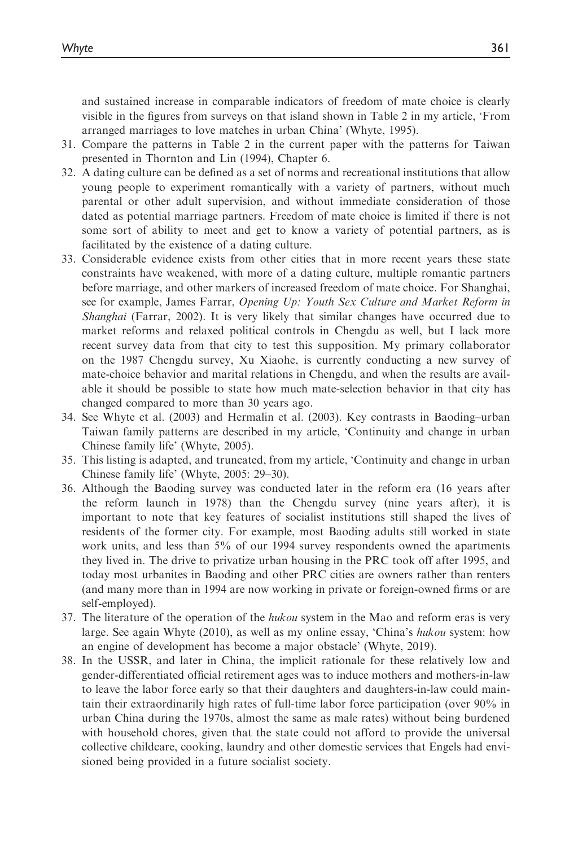and sustained increase in comparable indicators of freedom of mate choice is clearly visible in the figures from surveys on that island shown in Table 2 in my article, 'From arranged marriages to love matches in urban China' (Whyte, 1995).

- 31. Compare the patterns in Table 2 in the current paper with the patterns for Taiwan presented in Thornton and Lin (1994), Chapter 6.
- 32. A dating culture can be defined as a set of norms and recreational institutions that allow young people to experiment romantically with a variety of partners, without much parental or other adult supervision, and without immediate consideration of those dated as potential marriage partners. Freedom of mate choice is limited if there is not some sort of ability to meet and get to know a variety of potential partners, as is facilitated by the existence of a dating culture.
- 33. Considerable evidence exists from other cities that in more recent years these state constraints have weakened, with more of a dating culture, multiple romantic partners before marriage, and other markers of increased freedom of mate choice. For Shanghai, see for example, James Farrar, Opening Up: Youth Sex Culture and Market Reform in Shanghai (Farrar, 2002). It is very likely that similar changes have occurred due to market reforms and relaxed political controls in Chengdu as well, but I lack more recent survey data from that city to test this supposition. My primary collaborator on the 1987 Chengdu survey, Xu Xiaohe, is currently conducting a new survey of mate-choice behavior and marital relations in Chengdu, and when the results are available it should be possible to state how much mate-selection behavior in that city has changed compared to more than 30 years ago.
- 34. See Whyte et al. (2003) and Hermalin et al. (2003). Key contrasts in Baoding–urban Taiwan family patterns are described in my article, 'Continuity and change in urban Chinese family life' (Whyte, 2005).
- 35. This listing is adapted, and truncated, from my article, 'Continuity and change in urban Chinese family life' (Whyte, 2005: 29–30).
- 36. Although the Baoding survey was conducted later in the reform era (16 years after the reform launch in 1978) than the Chengdu survey (nine years after), it is important to note that key features of socialist institutions still shaped the lives of residents of the former city. For example, most Baoding adults still worked in state work units, and less than 5% of our 1994 survey respondents owned the apartments they lived in. The drive to privatize urban housing in the PRC took off after 1995, and today most urbanites in Baoding and other PRC cities are owners rather than renters (and many more than in 1994 are now working in private or foreign-owned firms or are self-employed).
- 37. The literature of the operation of the *hukou* system in the Mao and reform eras is very large. See again Whyte (2010), as well as my online essay, 'China's hukou system: how an engine of development has become a major obstacle' (Whyte, 2019).
- 38. In the USSR, and later in China, the implicit rationale for these relatively low and gender-differentiated official retirement ages was to induce mothers and mothers-in-law to leave the labor force early so that their daughters and daughters-in-law could maintain their extraordinarily high rates of full-time labor force participation (over 90% in urban China during the 1970s, almost the same as male rates) without being burdened with household chores, given that the state could not afford to provide the universal collective childcare, cooking, laundry and other domestic services that Engels had envisioned being provided in a future socialist society.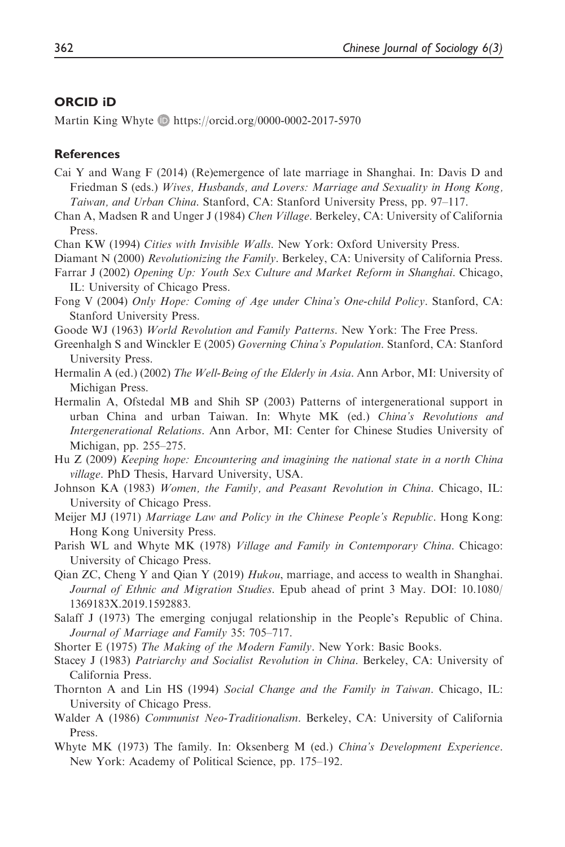#### ORCID iD

Martin King Whyte D <https://orcid.org/0000-0002-2017-5970>

#### **References**

- Cai Y and Wang F (2014) (Re)emergence of late marriage in Shanghai. In: Davis D and Friedman S (eds.) Wives, Husbands, and Lovers: Marriage and Sexuality in Hong Kong, Taiwan, and Urban China. Stanford, CA: Stanford University Press, pp. 97–117.
- Chan A, Madsen R and Unger J (1984) Chen Village. Berkeley, CA: University of California Press.
- Chan KW (1994) Cities with Invisible Walls. New York: Oxford University Press.
- Diamant N (2000) *Revolutionizing the Family*. Berkeley, CA: University of California Press.
- Farrar J (2002) Opening Up: Youth Sex Culture and Market Reform in Shanghai. Chicago, IL: University of Chicago Press.
- Fong V (2004) Only Hope: Coming of Age under China's One-child Policy. Stanford, CA: Stanford University Press.
- Goode WJ (1963) World Revolution and Family Patterns. New York: The Free Press.
- Greenhalgh S and Winckler E (2005) Governing China's Population. Stanford, CA: Stanford University Press.
- Hermalin A (ed.) (2002) The Well-Being of the Elderly in Asia. Ann Arbor, MI: University of Michigan Press.
- Hermalin A, Ofstedal MB and Shih SP (2003) Patterns of intergenerational support in urban China and urban Taiwan. In: Whyte MK (ed.) China's Revolutions and Intergenerational Relations. Ann Arbor, MI: Center for Chinese Studies University of Michigan, pp. 255–275.
- Hu Z (2009) Keeping hope: Encountering and imagining the national state in a north China village. PhD Thesis, Harvard University, USA.
- Johnson KA (1983) Women, the Family, and Peasant Revolution in China. Chicago, IL: University of Chicago Press.
- Meijer MJ (1971) Marriage Law and Policy in the Chinese People's Republic. Hong Kong: Hong Kong University Press.
- Parish WL and Whyte MK (1978) Village and Family in Contemporary China. Chicago: University of Chicago Press.
- Qian ZC, Cheng Y and Qian Y (2019) Hukou, marriage, and access to wealth in Shanghai. Journal of Ethnic and Migration Studies. Epub ahead of print 3 May. DOI: 10.1080/ 1369183X.2019.1592883.
- Salaff J (1973) The emerging conjugal relationship in the People's Republic of China. Journal of Marriage and Family 35: 705–717.
- Shorter E (1975) The Making of the Modern Family. New York: Basic Books.
- Stacey J (1983) Patriarchy and Socialist Revolution in China. Berkeley, CA: University of California Press.
- Thornton A and Lin HS (1994) Social Change and the Family in Taiwan. Chicago, IL: University of Chicago Press.
- Walder A (1986) Communist Neo-Traditionalism. Berkeley, CA: University of California Press.
- Whyte MK (1973) The family. In: Oksenberg M (ed.) China's Development Experience. New York: Academy of Political Science, pp. 175–192.